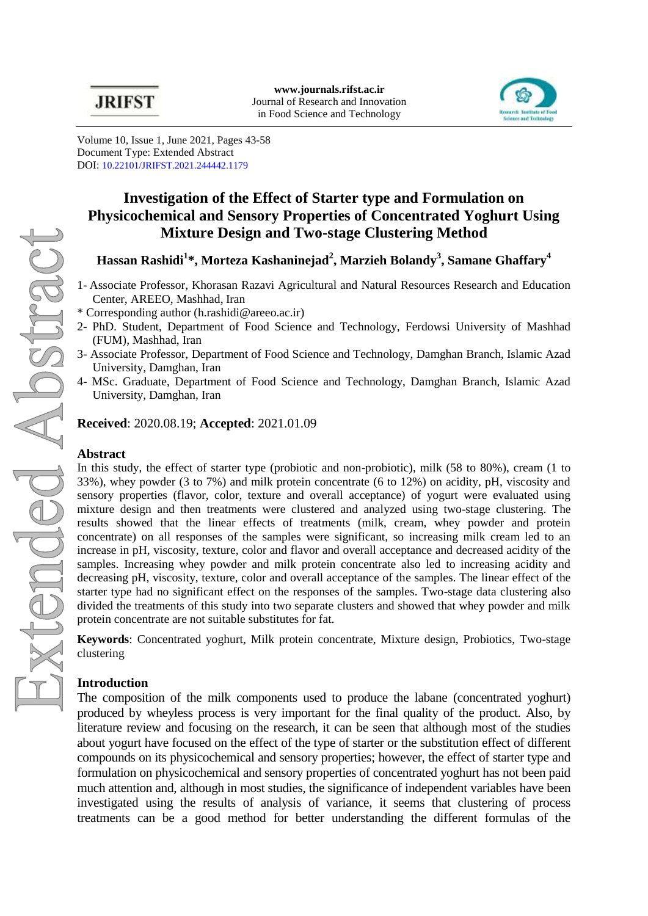

Volume 10, Issue 1, June 2021, Pages 43-58 Document Type: Extended Abstract DOI: [10.22101/JRIFST.2021.244442.1179](https://dx.doi.org/10.22101/jrifst.2021.244442.1179)

# **Investigation of the Effect of Starter type and Formulation on Physicochemical and Sensory Properties of Concentrated Yoghurt Using Mixture Design and Two-stage Clustering Method**

# **Hassan Rashidi<sup>1</sup> \*, Morteza Kashaninejad<sup>2</sup> , Marzieh Bolandy<sup>3</sup> , Samane Ghaffary<sup>4</sup>**

- 1- Associate Professor, Khorasan Razavi Agricultural and Natural Resources Research and Education Center, AREEO, Mashhad, Iran
- \* Corresponding author (h.rashidi@areeo.ac.ir)
- 2- PhD. Student, Department of Food Science and Technology, Ferdowsi University of Mashhad (FUM), Mashhad, Iran
- 3- Associate Professor, Department of Food Science and Technology, Damghan Branch, Islamic Azad University, Damghan, Iran
- 4- MSc. Graduate, Department of Food Science and Technology, Damghan Branch, Islamic Azad University, Damghan, Iran

**Received**: 2020.08.19; **Accepted**: 2021.01.09

## **Abstract**

In this study, the effect of starter type (probiotic and non-probiotic), milk (58 to 80%), cream (1 to 33%), whey powder (3 to 7%) and milk protein concentrate (6 to 12%) on acidity, pH, viscosity and sensory properties (flavor, color, texture and overall acceptance) of yogurt were evaluated using mixture design and then treatments were clustered and analyzed using two-stage clustering. The results showed that the linear effects of treatments (milk, cream, whey powder and protein concentrate) on all responses of the samples were significant, so increasing milk cream led to an increase in pH, viscosity, texture, color and flavor and overall acceptance and decreased acidity of the samples. Increasing whey powder and milk protein concentrate also led to increasing acidity and decreasing pH, viscosity, texture, color and overall acceptance of the samples. The linear effect of the starter type had no significant effect on the responses of the samples. Two-stage data clustering also divided the treatments of this study into two separate clusters and showed that whey powder and milk protein concentrate are not suitable substitutes for fat.

**Keywords**: Concentrated yoghurt, Milk protein concentrate, Mixture design, Probiotics, Two-stage clustering

# **Introduction**

The composition of the milk components used to produce the labane (concentrated yoghurt) produced by wheyless process is very important for the final quality of the product. Also, by literature review and focusing on the research, it can be seen that although most of the studies about yogurt have focused on the effect of the type of starter or the substitution effect of different compounds on its physicochemical and sensory properties; however, the effect of starter type and formulation on physicochemical and sensory properties of concentrated yoghurt has not been paid much attention and, although in most studies, the significance of independent variables have been investigated using the results of analysis of variance, it seems that clustering of process treatments can be a good method for better understanding the different formulas of the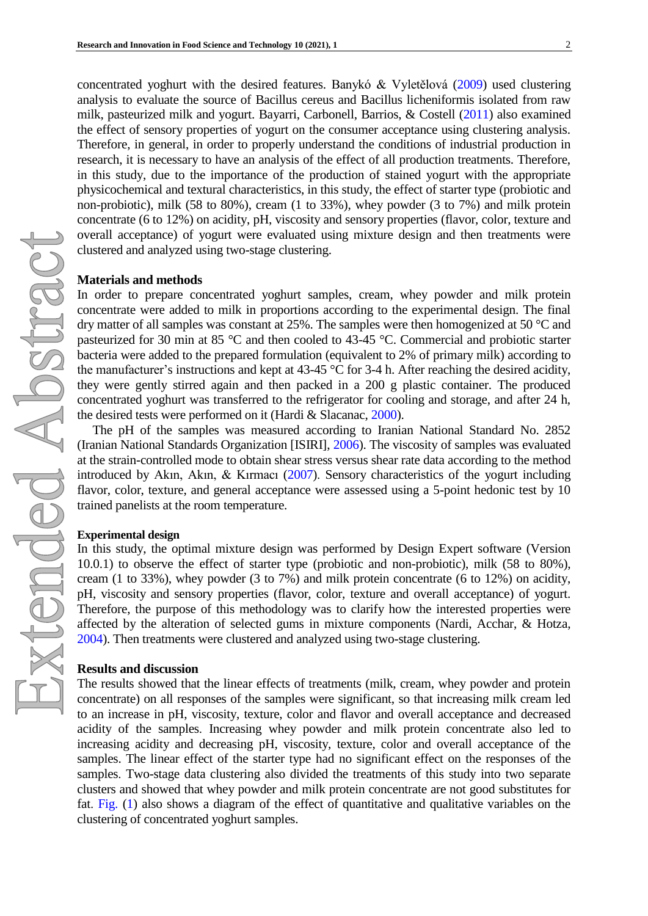concentrated yoghurt with the desired features. [Banykó & Vyletělová](#page-2-0) (2009) used clustering analysis to evaluate the source of Bacillus cereus and Bacillus licheniformis isolated from raw milk, pasteurized milk and yogurt. [Bayarri, Carbonell, Barrios, & Costell](#page-2-1) (2011) also examined the effect of sensory properties of yogurt on the consumer acceptance using clustering analysis. Therefore, in general, in order to properly understand the conditions of industrial production in research, it is necessary to have an analysis of the effect of all production treatments. Therefore, in this study, due to the importance of the production of stained yogurt with the appropriate physicochemical and textural characteristics, in this study, the effect of starter type (probiotic and non-probiotic), milk (58 to 80%), cream (1 to 33%), whey powder (3 to 7%) and milk protein concentrate (6 to 12%) on acidity, pH, viscosity and sensory properties (flavor, color, texture and overall acceptance) of yogurt were evaluated using mixture design and then treatments were clustered and analyzed using two-stage clustering.

## **Materials and methods**

In order to prepare concentrated yoghurt samples, cream, whey powder and milk protein concentrate were added to milk in proportions according to the experimental design. The final dry matter of all samples was constant at 25%. The samples were then homogenized at 50 °C and pasteurized for 30 min at 85 °C and then cooled to 43-45 °C. Commercial and probiotic starter bacteria were added to the prepared formulation (equivalent to 2% of primary milk) according to the manufacturer's instructions and kept at 43-45 °C for 3-4 h. After reaching the desired acidity, they were gently stirred again and then packed in a 200 g plastic container. The produced concentrated yoghurt was transferred to the refrigerator for cooling and storage, and after 24 h, the desired tests were performed on it [\(Hardi & Slacanac, 2000\)](#page-2-2).

The pH of the samples was measured according to Iranian National Standard No. 2852 [\(Iranian National Standards Organization \[ISIRI\], 2006\)](#page-2-3). The viscosity of samples was evaluated at the strain-controlled mode to obtain shear stress versus shear rate data according to the method introduced by [Akın, Akın, & Kırmacı](#page-2-4) (2007). Sensory characteristics of the yogurt including flavor, color, texture, and general acceptance were assessed using a 5-point hedonic test by 10 trained panelists at the room temperature.

### **Experimental design**

In this study, the optimal mixture design was performed by Design Expert software (Version 10.0.1) to observe the effect of starter type (probiotic and non-probiotic), milk (58 to 80%), cream (1 to 33%), whey powder (3 to 7%) and milk protein concentrate (6 to 12%) on acidity, pH, viscosity and sensory properties (flavor, color, texture and overall acceptance) of yogurt. Therefore, the purpose of this methodology was to clarify how the interested properties were affected by the alteration of selected gums in mixture components [\(Nardi, Acchar, & Hotza,](#page-2-5)  [2004\)](#page-2-5). Then treatments were clustered and analyzed using two-stage clustering.

### **Results and discussion**

The results showed that the linear effects of treatments (milk, cream, whey powder and protein concentrate) on all responses of the samples were significant, so that increasing milk cream led to an increase in pH, viscosity, texture, color and flavor and overall acceptance and decreased acidity of the samples. Increasing whey powder and milk protein concentrate also led to increasing acidity and decreasing pH, viscosity, texture, color and overall acceptance of the samples. The linear effect of the starter type had no significant effect on the responses of the samples. Two-stage data clustering also divided the treatments of this study into two separate clusters and showed that whey powder and milk protein concentrate are not good substitutes for fat. [Fig.](#page-2-6) (1) also shows a diagram of the effect of quantitative and qualitative variables on the clustering of concentrated yoghurt samples.